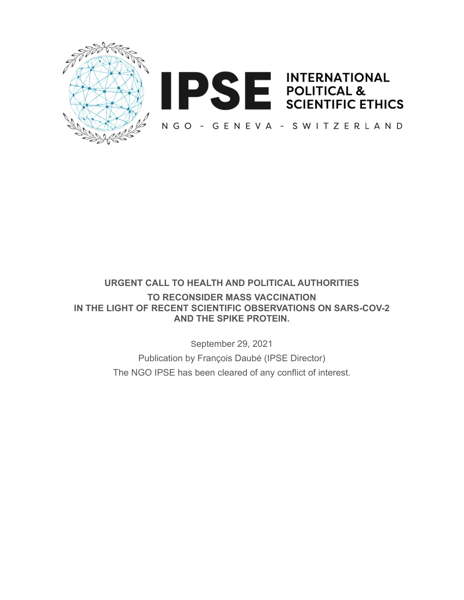



# **URGENT CALL TO HEALTH AND POLITICAL AUTHORITIES TO RECONSIDER MASS VACCINATION IN THE LIGHT OF RECENT SCIENTIFIC OBSERVATIONS ON SARS-COV-2 AND THE SPIKE PROTEIN.**

September 29, 2021

Publication by François Daubé (IPSE Director) The NGO IPSE has been cleared of any conflict of interest.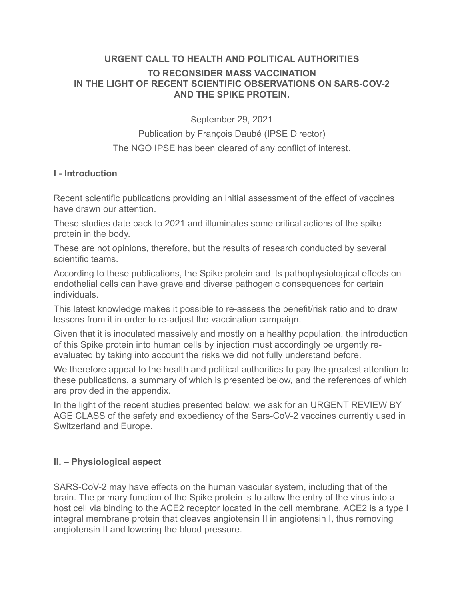## **URGENT CALL TO HEALTH AND POLITICAL AUTHORITIES**

#### **TO RECONSIDER MASS VACCINATION IN THE LIGHT OF RECENT SCIENTIFIC OBSERVATIONS ON SARS-COV-2 AND THE SPIKE PROTEIN.**

September 29, 2021

Publication by François Daubé (IPSE Director)

The NGO IPSE has been cleared of any conflict of interest.

## **I - Introduction**

Recent scientific publications providing an initial assessment of the effect of vaccines have drawn our attention.

These studies date back to 2021 and illuminates some critical actions of the spike protein in the body.

These are not opinions, therefore, but the results of research conducted by several scientific teams.

According to these publications, the Spike protein and its pathophysiological effects on endothelial cells can have grave and diverse pathogenic consequences for certain individuals.

This latest knowledge makes it possible to re-assess the benefit/risk ratio and to draw lessons from it in order to re-adjust the vaccination campaign.

Given that it is inoculated massively and mostly on a healthy population, the introduction of this Spike protein into human cells by injection must accordingly be urgently reevaluated by taking into account the risks we did not fully understand before.

We therefore appeal to the health and political authorities to pay the greatest attention to these publications, a summary of which is presented below, and the references of which are provided in the appendix.

In the light of the recent studies presented below, we ask for an URGENT REVIEW BY AGE CLASS of the safety and expediency of the Sars-CoV-2 vaccines currently used in Switzerland and Europe.

## **II. – Physiological aspect**

SARS-CoV-2 may have effects on the human vascular system, including that of the brain. The primary function of the Spike protein is to allow the entry of the virus into a host cell via binding to the ACE2 receptor located in the cell membrane. ACE2 is a type I integral membrane protein that cleaves angiotensin II in angiotensin I, thus removing angiotensin II and lowering the blood pressure.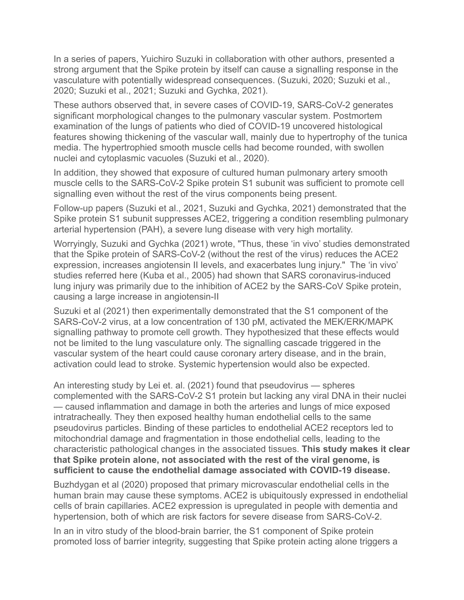In a series of papers, Yuichiro Suzuki in collaboration with other authors, presented a strong argument that the Spike protein by itself can cause a signalling response in the vasculature with potentially widespread consequences. (Suzuki, 2020; Suzuki et al., 2020; Suzuki et al., 2021; Suzuki and Gychka, 2021).

These authors observed that, in severe cases of COVID-19, SARS-CoV-2 generates significant morphological changes to the pulmonary vascular system. Postmortem examination of the lungs of patients who died of COVID-19 uncovered histological features showing thickening of the vascular wall, mainly due to hypertrophy of the tunica media. The hypertrophied smooth muscle cells had become rounded, with swollen nuclei and cytoplasmic vacuoles (Suzuki et al., 2020).

In addition, they showed that exposure of cultured human pulmonary artery smooth muscle cells to the SARS-CoV-2 Spike protein S1 subunit was sufficient to promote cell signalling even without the rest of the virus components being present.

Follow-up papers (Suzuki et al., 2021, Suzuki and Gychka, 2021) demonstrated that the Spike protein S1 subunit suppresses ACE2, triggering a condition resembling pulmonary arterial hypertension (PAH), a severe lung disease with very high mortality.

Worryingly, Suzuki and Gychka (2021) wrote, "Thus, these 'in vivo' studies demonstrated that the Spike protein of SARS-CoV-2 (without the rest of the virus) reduces the ACE2 expression, increases angiotensin II levels, and exacerbates lung injury." The 'in vivo' studies referred here (Kuba et al., 2005) had shown that SARS coronavirus-induced lung injury was primarily due to the inhibition of ACE2 by the SARS-CoV Spike protein, causing a large increase in angiotensin-II

Suzuki et al (2021) then experimentally demonstrated that the S1 component of the SARS-CoV-2 virus, at a low concentration of 130 pM, activated the MEK/ERK/MAPK signalling pathway to promote cell growth. They hypothesized that these effects would not be limited to the lung vasculature only. The signalling cascade triggered in the vascular system of the heart could cause coronary artery disease, and in the brain, activation could lead to stroke. Systemic hypertension would also be expected.

An interesting study by Lei et. al. (2021) found that pseudovirus — spheres complemented with the SARS-CoV-2 S1 protein but lacking any viral DNA in their nuclei — caused inflammation and damage in both the arteries and lungs of mice exposed intratracheally. They then exposed healthy human endothelial cells to the same pseudovirus particles. Binding of these particles to endothelial ACE2 receptors led to mitochondrial damage and fragmentation in those endothelial cells, leading to the characteristic pathological changes in the associated tissues. **This study makes it clear that Spike protein alone, not associated with the rest of the viral genome, is sufficient to cause the endothelial damage associated with COVID-19 disease.**

Buzhdygan et al (2020) proposed that primary microvascular endothelial cells in the human brain may cause these symptoms. ACE2 is ubiquitously expressed in endothelial cells of brain capillaries. ACE2 expression is upregulated in people with dementia and hypertension, both of which are risk factors for severe disease from SARS-CoV-2.

In an in vitro study of the blood-brain barrier, the S1 component of Spike protein promoted loss of barrier integrity, suggesting that Spike protein acting alone triggers a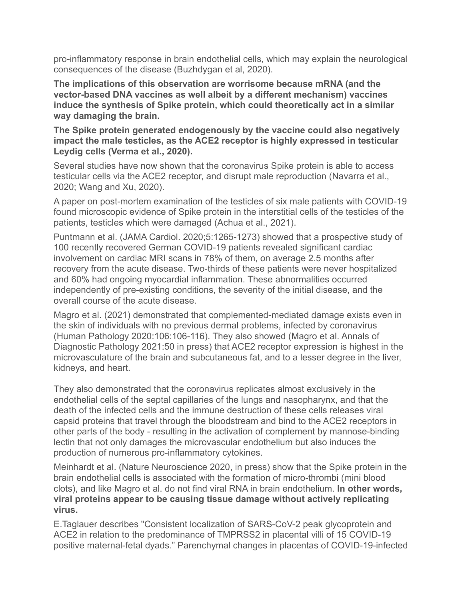pro-inflammatory response in brain endothelial cells, which may explain the neurological consequences of the disease (Buzhdygan et al, 2020).

**The implications of this observation are worrisome because mRNA (and the vector-based DNA vaccines as well albeit by a different mechanism) vaccines induce the synthesis of Spike protein, which could theoretically act in a similar way damaging the brain.** 

**The Spike protein generated endogenously by the vaccine could also negatively impact the male testicles, as the ACE2 receptor is highly expressed in testicular Leydig cells (Verma et al., 2020).** 

Several studies have now shown that the coronavirus Spike protein is able to access testicular cells via the ACE2 receptor, and disrupt male reproduction (Navarra et al., 2020; Wang and Xu, 2020).

A paper on post-mortem examination of the testicles of six male patients with COVID-19 found microscopic evidence of Spike protein in the interstitial cells of the testicles of the patients, testicles which were damaged (Achua et al., 2021).

Puntmann et al. (JAMA Cardiol. 2020;5:1265-1273) showed that a prospective study of 100 recently recovered German COVID-19 patients revealed significant cardiac involvement on cardiac MRI scans in 78% of them, on average 2.5 months after recovery from the acute disease. Two-thirds of these patients were never hospitalized and 60% had ongoing myocardial inflammation. These abnormalities occurred independently of pre-existing conditions, the severity of the initial disease, and the overall course of the acute disease.

Magro et al. (2021) demonstrated that complemented-mediated damage exists even in the skin of individuals with no previous dermal problems, infected by coronavirus (Human Pathology 2020:106:106-116). They also showed (Magro et al. Annals of Diagnostic Pathology 2021:50 in press) that ACE2 receptor expression is highest in the microvasculature of the brain and subcutaneous fat, and to a lesser degree in the liver, kidneys, and heart.

They also demonstrated that the coronavirus replicates almost exclusively in the endothelial cells of the septal capillaries of the lungs and nasopharynx, and that the death of the infected cells and the immune destruction of these cells releases viral capsid proteins that travel through the bloodstream and bind to the ACE2 receptors in other parts of the body - resulting in the activation of complement by mannose-binding lectin that not only damages the microvascular endothelium but also induces the production of numerous pro-inflammatory cytokines.

Meinhardt et al. (Nature Neuroscience 2020, in press) show that the Spike protein in the brain endothelial cells is associated with the formation of micro-thrombi (mini blood clots), and like Magro et al. do not find viral RNA in brain endothelium. **In other words, viral proteins appear to be causing tissue damage without actively replicating virus.** 

E.Taglauer describes "Consistent localization of SARS-CoV-2 peak glycoprotein and ACE2 in relation to the predominance of TMPRSS2 in placental villi of 15 COVID-19 positive maternal-fetal dyads." Parenchymal changes in placentas of COVID-19-infected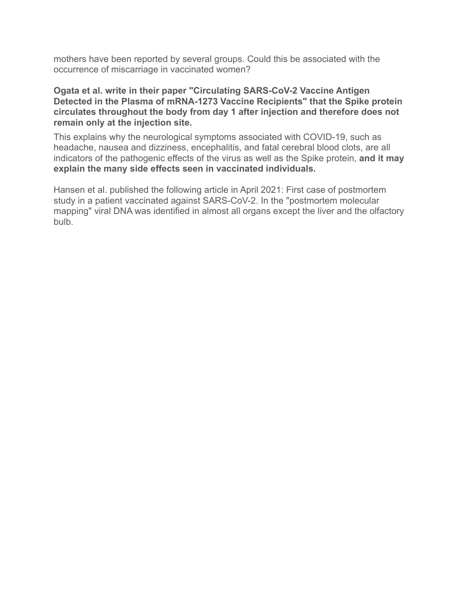mothers have been reported by several groups. Could this be associated with the occurrence of miscarriage in vaccinated women?

#### **Ogata et al. write in their paper "Circulating SARS-CoV-2 Vaccine Antigen Detected in the Plasma of mRNA-1273 Vaccine Recipients" that the Spike protein circulates throughout the body from day 1 after injection and therefore does not remain only at the injection site.**

This explains why the neurological symptoms associated with COVID-19, such as headache, nausea and dizziness, encephalitis, and fatal cerebral blood clots, are all indicators of the pathogenic effects of the virus as well as the Spike protein, **and it may explain the many side effects seen in vaccinated individuals.** 

Hansen et al. published the following article in April 2021: First case of postmortem study in a patient vaccinated against SARS-CoV-2. In the "postmortem molecular mapping" viral DNA was identified in almost all organs except the liver and the olfactory bulb.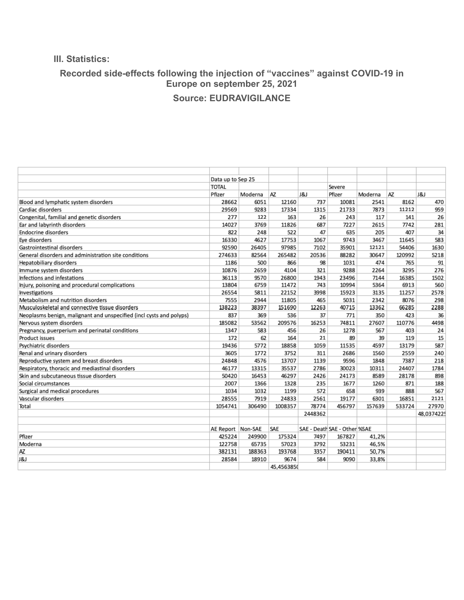#### **III. Statistics:**

## **Recorded side-effects following the injection of "vaccines" against COVID-19 in Europe on september 25, 2021**

# **Source: EUDRAVIGILANCE**

|                                                                     | Data up to Sep 25 |         |            |         |                              |         |        |           |
|---------------------------------------------------------------------|-------------------|---------|------------|---------|------------------------------|---------|--------|-----------|
|                                                                     | <b>TOTAL</b>      |         |            |         | Severe                       |         |        |           |
|                                                                     | Pfizer            | Moderna | AZ         | 1&1     | Pfizer                       | Moderna | AZ     | 8         |
| Blood and lymphatic system disorders                                | 28662             | 6051    | 12160      | 737     | 10081                        | 2541    | 8162   | 470       |
| Cardiac disorders                                                   | 29569             | 9283    | 17334      | 1315    | 21733                        | 7873    | 11212  | 959       |
| Congenital, familial and genetic disorders                          | 277               | 122     | 163        | 26      | 243                          | 117     | 141    | 26        |
| Ear and labyrinth disorders                                         | 14027             | 3769    | 11826      | 687     | 7227                         | 2615    | 7742   | 281       |
| <b>Endocrine disorders</b>                                          | 822               | 248     | 522        | 47      | 635                          | 205     | 407    | 34        |
| Eye disorders                                                       | 16330             | 4627    | 17753      | 1067    | 9743                         | 3467    | 11645  | 583       |
| Gastrointestinal disorders                                          | 92590             | 26405   | 97985      | 7102    | 35901                        | 12121   | 54406  | 1630      |
| General disorders and administration site conditions                | 274633            | 82564   | 265482     | 20536   | 88282                        | 30647   | 120992 | 5218      |
| Hepatobiliary disorders                                             | 1186              | 500     | 866        | 98      | 1031                         | 474     | 765    | 91        |
| Immune system disorders                                             | 10876             | 2659    | 4104       | 321     | 9288                         | 2264    | 3295   | 276       |
| Infections and infestations                                         | 36113             | 9570    | 26800      | 1943    | 23496                        | 7144    | 16385  | 1502      |
| Injury, poisoning and procedural complications                      | 13804             | 6759    | 11472      | 743     | 10994                        | 5364    | 6913   | 560       |
| Investigations                                                      | 26554             | 5811    | 22152      | 3998    | 15923                        | 3135    | 11257  | 2578      |
| Metabolism and nutrition disorders                                  | 7555              | 2944    | 11805      | 465     | 5031                         | 2342    | 8076   | 298       |
| Musculoskeletal and connective tissue disorders                     | 138223            | 38397   | 151690     | 12263   | 40715                        | 13362   | 66285  | 2288      |
| Neoplasms benign, malignant and unspecified (incl cysts and polyps) | 837               | 369     | 536        | 37      | 771                          | 350     | 423    | 36        |
| Nervous system disorders                                            | 185082            | 53562   | 209576     | 16253   | 74811                        | 27607   | 110776 | 4498      |
| Pregnancy, puerperium and perinatal conditions                      | 1347              | 583     | 456        | 26      | 1278                         | 567     | 403    | 24        |
| Product issues                                                      | 172               | 62      | 164        | 21      | 89                           | 39      | 119    | 15        |
| Psychiatric disorders                                               | 19436             | 5772    | 18858      | 1059    | 11535                        | 4597    | 13179  | 587       |
| Renal and urinary disorders                                         | 3605              | 1772    | 3752       | 311     | 2686                         | 1560    | 2559   | 240       |
| Reproductive system and breast disorders                            | 24848             | 4576    | 13707      | 1139    | 9596                         | 1848    | 7387   | 218       |
| Respiratory, thoracic and mediastinal disorders                     | 46177             | 13315   | 35537      | 2786    | 30023                        | 10311   | 24407  | 1784      |
| Skin and subcutaneous tissue disorders                              | 50420             | 16453   | 46297      | 2426    | 24173                        | 8589    | 28178  | 898       |
| Social circumstances                                                | 2007              | 1366    | 1328       | 235     | 1677                         | 1260    | 871    | 188       |
| Surgical and medical procedures                                     | 1034              | 1032    | 1199       | 572     | 658                          | 939     | 888    | 567       |
| Vascular disorders                                                  | 28555             | 7919    | 24833      | 2561    | 19177                        | 6301    | 16851  | 2121      |
| Total                                                               | 1054741           | 306490  | 1008357    | 78774   | 456797                       | 157639  | 533724 | 27970     |
|                                                                     |                   |         |            | 2448362 |                              |         |        | 48,037422 |
|                                                                     |                   |         |            |         |                              |         |        |           |
|                                                                     | AE Report Non-SAE |         | SAE        |         | SAE - Death SAE - Other %SAE |         |        |           |
| Pfizer                                                              | 425224            | 249900  | 175324     | 7497    | 167827                       | 41.2%   |        |           |
| Moderna                                                             | 122758            | 65735   | 57023      | 3792    | 53231                        | 46,5%   |        |           |
| AZ.                                                                 | 382131            | 188363  | 193768     | 3357    | 190411                       | 50.7%   |        |           |
| J&J                                                                 | 28584             | 18910   | 9674       | 584     | 9090                         | 33,8%   |        |           |
|                                                                     |                   |         | 45.4563850 |         |                              |         |        |           |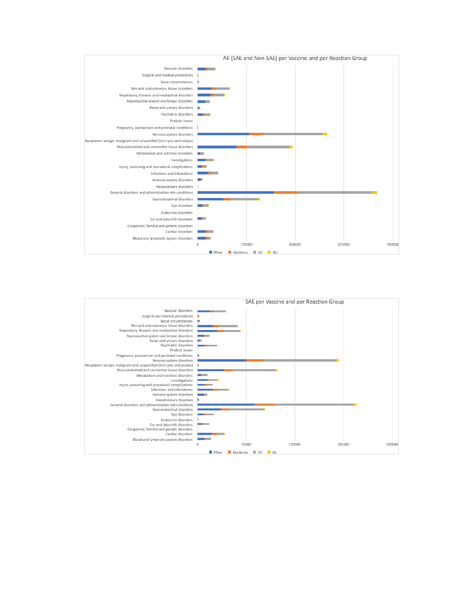

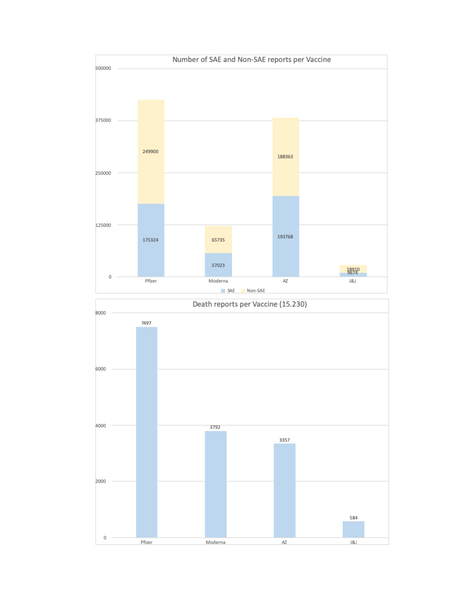

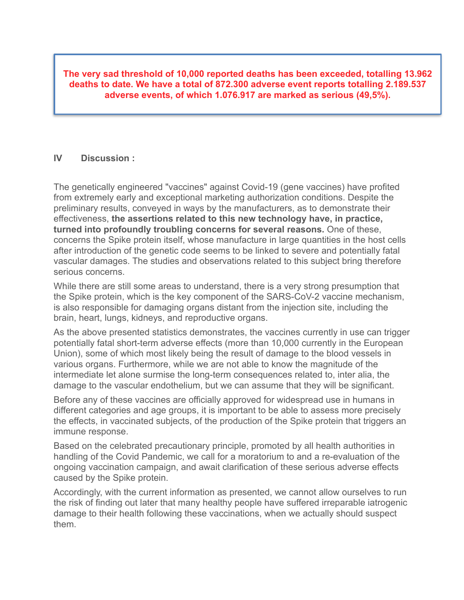**The very sad threshold of 10,000 reported deaths has been exceeded, totalling 13.962 deaths to date. We have a total of 872.300 adverse event reports totalling 2.189.537 adverse events, of which 1.076.917 are marked as serious (49,5%).**

#### **IV Discussion :**

The genetically engineered "vaccines" against Covid-19 (gene vaccines) have profited from extremely early and exceptional marketing authorization conditions. Despite the preliminary results, conveyed in ways by the manufacturers, as to demonstrate their effectiveness, **the assertions related to this new technology have, in practice, turned into profoundly troubling concerns for several reasons.** One of these, concerns the Spike protein itself, whose manufacture in large quantities in the host cells after introduction of the genetic code seems to be linked to severe and potentially fatal vascular damages. The studies and observations related to this subject bring therefore serious concerns.

While there are still some areas to understand, there is a very strong presumption that the Spike protein, which is the key component of the SARS-CoV-2 vaccine mechanism, is also responsible for damaging organs distant from the injection site, including the brain, heart, lungs, kidneys, and reproductive organs.

As the above presented statistics demonstrates, the vaccines currently in use can trigger potentially fatal short-term adverse effects (more than 10,000 currently in the European Union), some of which most likely being the result of damage to the blood vessels in various organs. Furthermore, while we are not able to know the magnitude of the intermediate let alone surmise the long-term consequences related to, inter alia, the damage to the vascular endothelium, but we can assume that they will be significant.

Before any of these vaccines are officially approved for widespread use in humans in different categories and age groups, it is important to be able to assess more precisely the effects, in vaccinated subjects, of the production of the Spike protein that triggers an immune response.

Based on the celebrated precautionary principle, promoted by all health authorities in handling of the Covid Pandemic, we call for a moratorium to and a re-evaluation of the ongoing vaccination campaign, and await clarification of these serious adverse effects caused by the Spike protein.

Accordingly, with the current information as presented, we cannot allow ourselves to run the risk of finding out later that many healthy people have suffered irreparable iatrogenic damage to their health following these vaccinations, when we actually should suspect them.